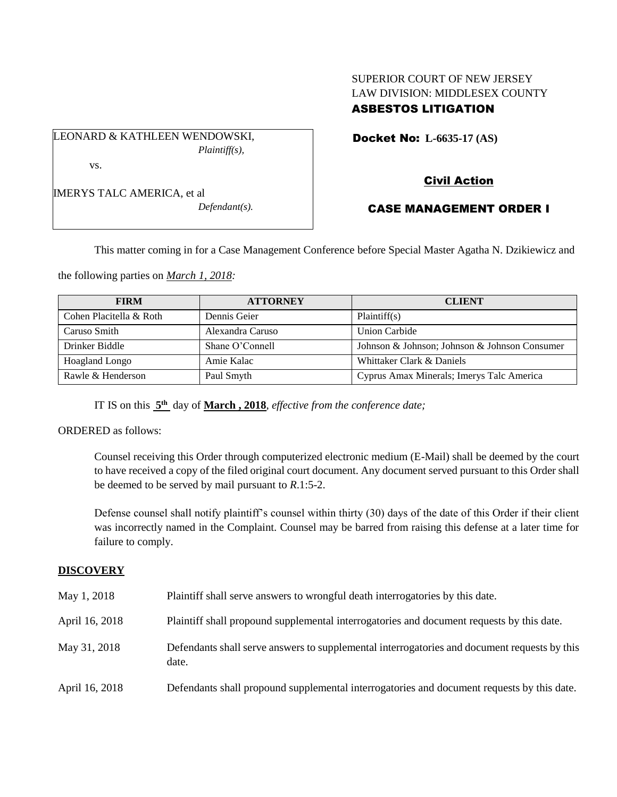## SUPERIOR COURT OF NEW JERSEY LAW DIVISION: MIDDLESEX COUNTY ASBESTOS LITIGATION

Docket No: **L-6635-17 (AS)** 

LEONARD & KATHLEEN WENDOWSKI, *Plaintiff(s),* vs.

IMERYS TALC AMERICA, et al

*Defendant(s).*

Civil Action

# CASE MANAGEMENT ORDER I

This matter coming in for a Case Management Conference before Special Master Agatha N. Dzikiewicz and

the following parties on *March 1, 2018:*

| <b>FIRM</b>             | <b>ATTORNEY</b>  | <b>CLIENT</b>                                 |
|-------------------------|------------------|-----------------------------------------------|
| Cohen Placitella & Roth | Dennis Geier     | Plaintiff(s)                                  |
| Caruso Smith            | Alexandra Caruso | Union Carbide                                 |
| Drinker Biddle          | Shane O'Connell  | Johnson & Johnson; Johnson & Johnson Consumer |
| <b>Hoagland Longo</b>   | Amie Kalac       | Whittaker Clark & Daniels                     |
| Rawle & Henderson       | Paul Smyth       | Cyprus Amax Minerals; Imerys Talc America     |

IT IS on this **5 th** day of **March , 2018**, *effective from the conference date;*

ORDERED as follows:

Counsel receiving this Order through computerized electronic medium (E-Mail) shall be deemed by the court to have received a copy of the filed original court document. Any document served pursuant to this Order shall be deemed to be served by mail pursuant to *R*.1:5-2.

Defense counsel shall notify plaintiff's counsel within thirty (30) days of the date of this Order if their client was incorrectly named in the Complaint. Counsel may be barred from raising this defense at a later time for failure to comply.

### **DISCOVERY**

| May 1, 2018    | Plaintiff shall serve answers to wrongful death interrogatories by this date.                         |
|----------------|-------------------------------------------------------------------------------------------------------|
| April 16, 2018 | Plaintiff shall propound supplemental interrogatories and document requests by this date.             |
| May 31, 2018   | Defendants shall serve answers to supplemental interrogatories and document requests by this<br>date. |
| April 16, 2018 | Defendants shall propound supplemental interrogatories and document requests by this date.            |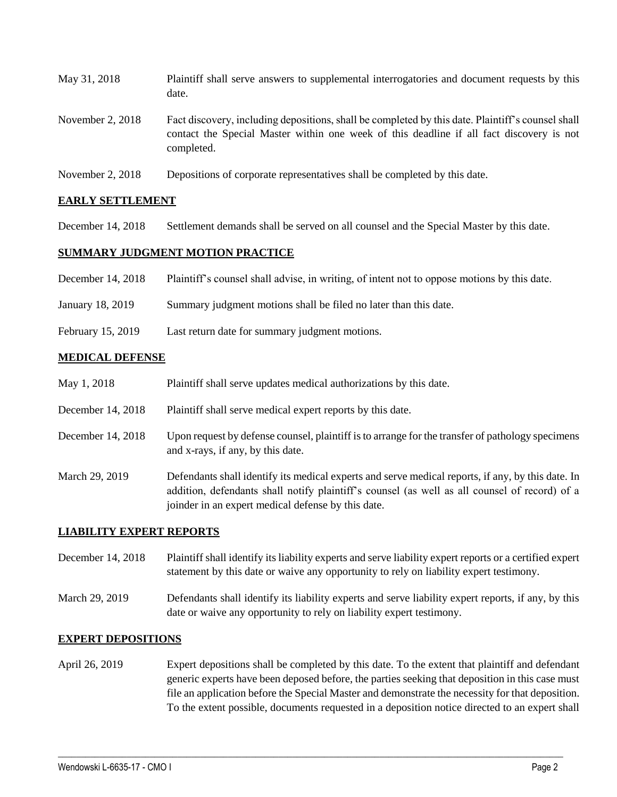| May 31, 2018       | Plaintiff shall serve answers to supplemental interrogatories and document requests by this<br>date.                                                                                                        |
|--------------------|-------------------------------------------------------------------------------------------------------------------------------------------------------------------------------------------------------------|
| November 2, $2018$ | Fact discovery, including depositions, shall be completed by this date. Plaintiff's counsel shall<br>contact the Special Master within one week of this deadline if all fact discovery is not<br>completed. |
|                    |                                                                                                                                                                                                             |

November 2, 2018 Depositions of corporate representatives shall be completed by this date.

### **EARLY SETTLEMENT**

December 14, 2018 Settlement demands shall be served on all counsel and the Special Master by this date.

### **SUMMARY JUDGMENT MOTION PRACTICE**

- December 14, 2018 Plaintiff's counsel shall advise, in writing, of intent not to oppose motions by this date.
- January 18, 2019 Summary judgment motions shall be filed no later than this date.
- February 15, 2019 Last return date for summary judgment motions.

#### **MEDICAL DEFENSE**

- May 1, 2018 Plaintiff shall serve updates medical authorizations by this date.
- December 14, 2018 Plaintiff shall serve medical expert reports by this date.
- December 14, 2018 Upon request by defense counsel, plaintiff is to arrange for the transfer of pathology specimens and x-rays, if any, by this date.
- March 29, 2019 Defendants shall identify its medical experts and serve medical reports, if any, by this date. In addition, defendants shall notify plaintiff's counsel (as well as all counsel of record) of a joinder in an expert medical defense by this date.

### **LIABILITY EXPERT REPORTS**

- December 14, 2018 Plaintiff shall identify its liability experts and serve liability expert reports or a certified expert statement by this date or waive any opportunity to rely on liability expert testimony.
- March 29, 2019 Defendants shall identify its liability experts and serve liability expert reports, if any, by this date or waive any opportunity to rely on liability expert testimony.

#### **EXPERT DEPOSITIONS**

April 26, 2019 Expert depositions shall be completed by this date. To the extent that plaintiff and defendant generic experts have been deposed before, the parties seeking that deposition in this case must file an application before the Special Master and demonstrate the necessity for that deposition. To the extent possible, documents requested in a deposition notice directed to an expert shall

 $\_$  ,  $\_$  ,  $\_$  ,  $\_$  ,  $\_$  ,  $\_$  ,  $\_$  ,  $\_$  ,  $\_$  ,  $\_$  ,  $\_$  ,  $\_$  ,  $\_$  ,  $\_$  ,  $\_$  ,  $\_$  ,  $\_$  ,  $\_$  ,  $\_$  ,  $\_$  ,  $\_$  ,  $\_$  ,  $\_$  ,  $\_$  ,  $\_$  ,  $\_$  ,  $\_$  ,  $\_$  ,  $\_$  ,  $\_$  ,  $\_$  ,  $\_$  ,  $\_$  ,  $\_$  ,  $\_$  ,  $\_$  ,  $\_$  ,